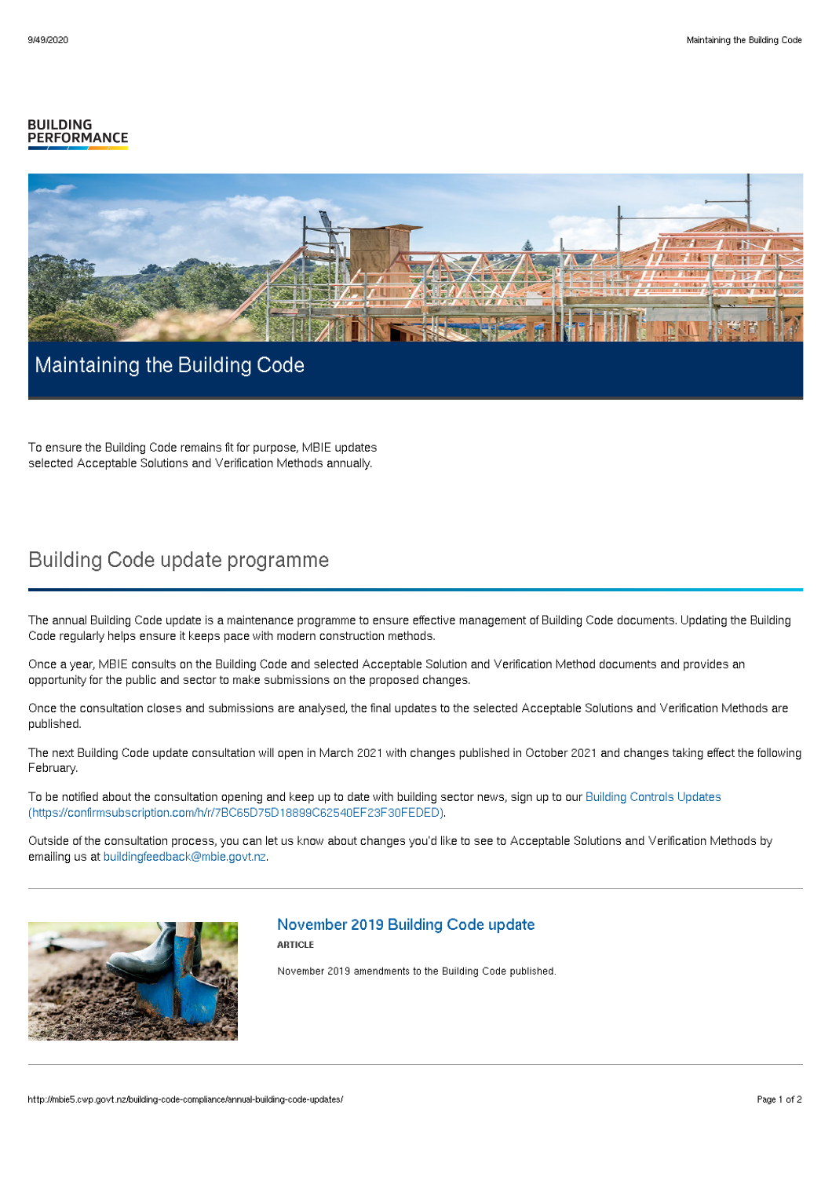#### **BUILDING PERFORMANCE**



## Maintaining the Building Code

To ensure the Building Code remains fit for purpose, MBIE updates selected Acceptable Solutions and Verification Methods annually.

# Building Code update programme

The annual Building Code update is a maintenance programme to ensure effective management of Building Code documents. Updating the Building Code regularly helps ensure it keeps pace with modern construction methods.

Once a year, MBIE consults on the Building Code and selected Acceptable Solution and Verification Method documents and provides an opportunity for the public and sector to make submissions on the proposed changes.

Once the consultation closes and submissions are analysed, the final updates to the selected Acceptable Solutions and Verification Methods are published.

The next Building Code update consultation will open in March 2021 with changes published in October 2021 and changes taking effect the following February.

To be notified about the consultation opening and keep up to date with building sector news, sign up to our Building Controls Updates [\(https://confirmsubscription.com/h/r/7BC65D75D18899C62540EF23F30FEDED\).](https://confirmsubscription.com/h/r/7BC65D75D18899C62540EF23F30FEDED)

Outside of the consultation process, you can let us know about changes you'd like to see to Acceptable Solutions and Verification Methods by emailing us at [buildingfeedback@mbie.govt.nz](mailto:buildingfeedback@mbie.govt.nz).



#### November 2019 Building Code update

**ARTICLE** 

November 2019 amendments to the Building Code published.